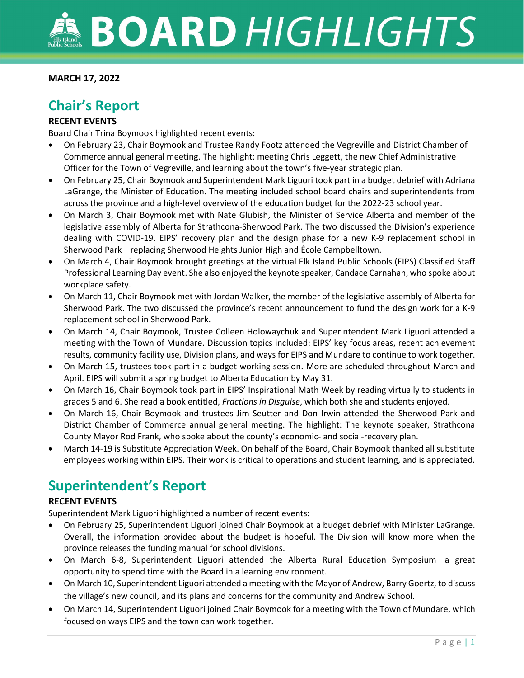#### **MARCH 17, 2022**

## **Chair's Report**

#### **RECENT EVENTS**

Board Chair Trina Boymook highlighted recent events:

- On February 23, Chair Boymook and Trustee Randy Footz attended the Vegreville and District Chamber of Commerce annual general meeting. The highlight: meeting Chris Leggett, the new Chief Administrative Officer for the Town of Vegreville, and learning about the town's five-year strategic plan.
- On February 25, Chair Boymook and Superintendent Mark Liguori took part in a budget debrief with Adriana LaGrange, the Minister of Education. The meeting included school board chairs and superintendents from across the province and a high-level overview of the education budget for the 2022-23 school year.
- On March 3, Chair Boymook met with Nate Glubish, the Minister of Service Alberta and member of the legislative assembly of Alberta for Strathcona-Sherwood Park. The two discussed the Division's experience dealing with COVID-19, EIPS' recovery plan and the design phase for a new K-9 replacement school in Sherwood Park—replacing Sherwood Heights Junior High and École Campbelltown.
- On March 4, Chair Boymook brought greetings at the virtual Elk Island Public Schools (EIPS) Classified Staff Professional Learning Day event. She also enjoyed the keynote speaker, Candace Carnahan, who spoke about workplace safety.
- On March 11, Chair Boymook met with Jordan Walker, the member of the legislative assembly of Alberta for Sherwood Park. The two discussed the province's recent announcement to fund the design work for a K-9 replacement school in Sherwood Park.
- On March 14, Chair Boymook, Trustee Colleen Holowaychuk and Superintendent Mark Liguori attended a meeting with the Town of Mundare. Discussion topics included: EIPS' key focus areas, recent achievement results, community facility use, Division plans, and ways for EIPS and Mundare to continue to work together.
- On March 15, trustees took part in a budget working session. More are scheduled throughout March and April. EIPS will submit a spring budget to Alberta Education by May 31.
- On March 16, Chair Boymook took part in EIPS' Inspirational Math Week by reading virtually to students in grades 5 and 6. She read a book entitled, *Fractions in Disguise*, which both she and students enjoyed.
- On March 16, Chair Boymook and trustees Jim Seutter and Don Irwin attended the Sherwood Park and District Chamber of Commerce annual general meeting. The highlight: The keynote speaker, Strathcona County Mayor Rod Frank, who spoke about the county's economic- and social-recovery plan.
- March 14-19 is Substitute Appreciation Week. On behalf of the Board, Chair Boymook thanked all substitute employees working within EIPS. Their work is critical to operations and student learning, and is appreciated.

## **Superintendent's Report**

#### **RECENT EVENTS**

Superintendent Mark Liguori highlighted a number of recent events:

- On February 25, Superintendent Liguori joined Chair Boymook at a budget debrief with Minister LaGrange. Overall, the information provided about the budget is hopeful. The Division will know more when the province releases the funding manual for school divisions.
- On March 6-8, Superintendent Liguori attended the Alberta Rural Education Symposium—a great opportunity to spend time with the Board in a learning environment.
- On March 10, Superintendent Liguori attended a meeting with the Mayor of Andrew, Barry Goertz, to discuss the village's new council, and its plans and concerns for the community and Andrew School.
- On March 14, Superintendent Liguori joined Chair Boymook for a meeting with the Town of Mundare, which focused on ways EIPS and the town can work together.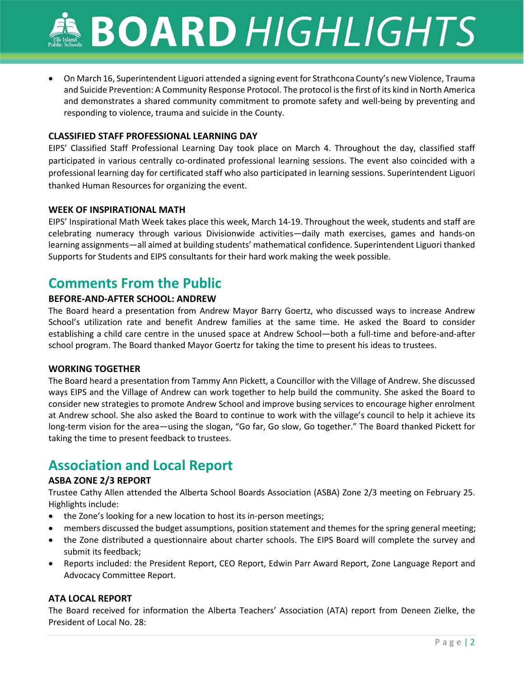• On March 16, Superintendent Liguori attended a signing event for Strathcona County's new Violence, Trauma and Suicide Prevention: A Community Response Protocol. The protocol is the first of its kind in North America and demonstrates a shared community commitment to promote safety and well-being by preventing and responding to violence, trauma and suicide in the County.

#### **CLASSIFIED STAFF PROFESSIONAL LEARNING DAY**

EIPS' Classified Staff Professional Learning Day took place on March 4. Throughout the day, classified staff participated in various centrally co-ordinated professional learning sessions. The event also coincided with a professional learning day for certificated staff who also participated in learning sessions. Superintendent Liguori thanked Human Resources for organizing the event.

#### **WEEK OF INSPIRATIONAL MATH**

EIPS' Inspirational Math Week takes place this week, March 14-19. Throughout the week, students and staff are celebrating numeracy through various Divisionwide activities—daily math exercises, games and hands-on learning assignments—all aimed at building students' mathematical confidence. Superintendent Liguori thanked Supports for Students and EIPS consultants for their hard work making the week possible.

## **Comments From the Public**

#### **BEFORE-AND-AFTER SCHOOL: ANDREW**

The Board heard a presentation from Andrew Mayor Barry Goertz, who discussed ways to increase Andrew School's utilization rate and benefit Andrew families at the same time. He asked the Board to consider establishing a child care centre in the unused space at Andrew School—both a full-time and before-and-after school program. The Board thanked Mayor Goertz for taking the time to present his ideas to trustees.

#### **WORKING TOGETHER**

The Board heard a presentation from Tammy Ann Pickett, a Councillor with the Village of Andrew. She discussed ways EIPS and the Village of Andrew can work together to help build the community. She asked the Board to consider new strategies to promote Andrew School and improve busing services to encourage higher enrolment at Andrew school. She also asked the Board to continue to work with the village's council to help it achieve its long-term vision for the area—using the slogan, "Go far, Go slow, Go together." The Board thanked Pickett for taking the time to present feedback to trustees.

## **Association and Local Report**

#### **ASBA ZONE 2/3 REPORT**

Trustee Cathy Allen attended the Alberta School Boards Association (ASBA) Zone 2/3 meeting on February 25. Highlights include:

- the Zone's looking for a new location to host its in-person meetings;
- members discussed the budget assumptions, position statement and themes for the spring general meeting;
- the Zone distributed a questionnaire about charter schools. The EIPS Board will complete the survey and submit its feedback;
- Reports included: the President Report, CEO Report, Edwin Parr Award Report, Zone Language Report and Advocacy Committee Report.

#### **ATA LOCAL REPORT**

The Board received for information the Alberta Teachers' Association (ATA) report from Deneen Zielke, the President of Local No. 28: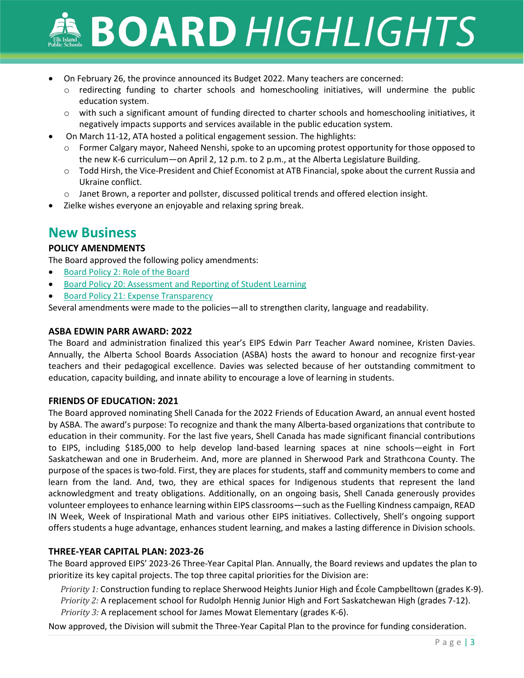- On February 26, the province announced its Budget 2022. Many teachers are concerned:
	- $\circ$  redirecting funding to charter schools and homeschooling initiatives, will undermine the public education system.
	- o with such a significant amount of funding directed to charter schools and homeschooling initiatives, it negatively impacts supports and services available in the public education system.
- On March 11-12, ATA hosted a political engagement session. The highlights:
	- o Former Calgary mayor, Naheed Nenshi, spoke to an upcoming protest opportunity for those opposed to the new K-6 curriculum—on April 2, 12 p.m. to 2 p.m., at the Alberta Legislature Building.
	- o Todd Hirsh, the Vice-President and Chief Economist at ATB Financial, spoke about the current Russia and Ukraine conflict.
	- o Janet Brown, a reporter and pollster, discussed political trends and offered election insight.
- Zielke wishes everyone an enjoyable and relaxing spring break.

### **New Business**

#### **POLICY AMENDMENTS**

The Board approved the following policy amendments:

- [Board Policy 2: Role of the Board](https://www.eips.ca/about-us/board-policies/510)
- Board Policy 20: [Assessment and Reporting of Student](https://www.eips.ca/about-us/board-policies/1428) Learning
- Board Policy 21: [Expense Transparency](https://www.eips.ca/about-us/board-policies/645)

Several amendments were made to the policies—all to strengthen clarity, language and readability.

#### **ASBA EDWIN PARR AWARD: 2022**

The Board and administration finalized this year's EIPS Edwin Parr Teacher Award nominee, Kristen Davies. Annually, the Alberta School Boards Association (ASBA) hosts the award to honour and recognize first-year teachers and their pedagogical excellence. Davies was selected because of her outstanding commitment to education, capacity building, and innate ability to encourage a love of learning in students.

#### **FRIENDS OF EDUCATION: 2021**

The Board approved nominating Shell Canada for the 2022 Friends of Education Award, an annual event hosted by ASBA. The award's purpose: To recognize and thank the many Alberta-based organizations that contribute to education in their community. For the last five years, Shell Canada has made significant financial contributions to EIPS, including \$185,000 to help develop land-based learning spaces at nine schools—eight in Fort Saskatchewan and one in Bruderheim. And, more are planned in Sherwood Park and Strathcona County. The purpose of the spaces is two-fold. First, they are places for students, staff and community members to come and learn from the land. And, two, they are ethical spaces for Indigenous students that represent the land acknowledgment and treaty obligations. Additionally, on an ongoing basis, Shell Canada generously provides volunteer employees to enhance learning within EIPS classrooms—such as the Fuelling Kindness campaign, READ IN Week, Week of Inspirational Math and various other EIPS initiatives. Collectively, Shell's ongoing support offers students a huge advantage, enhances student learning, and makes a lasting difference in Division schools.

#### **THREE-YEAR CAPITAL PLAN: 2023-26**

The Board approved EIPS' 2023-26 Three-Year Capital Plan. Annually, the Board reviews and updates the plan to prioritize its key capital projects. The top three capital priorities for the Division are:

*Priority 1:* Construction funding to replace Sherwood Heights Junior High and École Campbelltown (grades K-9). *Priority 2:* A replacement school for Rudolph Hennig Junior High and Fort Saskatchewan High (grades 7-12). *Priority 3:* A replacement school for James Mowat Elementary (grades K-6).

Now approved, the Division will submit the Three-Year Capital Plan to the province for funding consideration.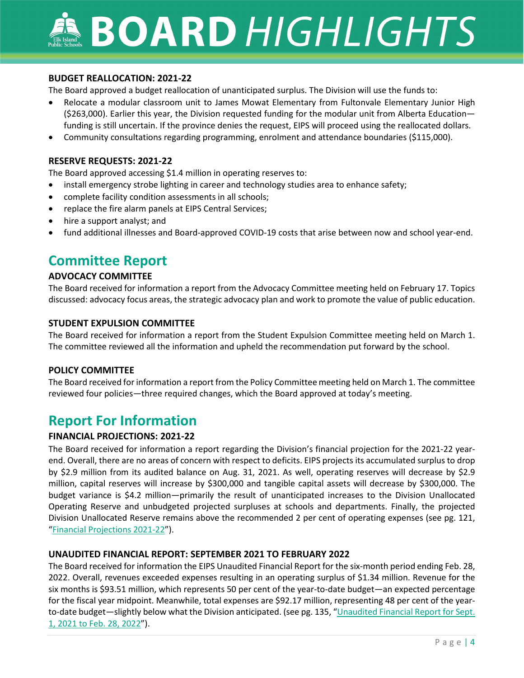#### **BUDGET REALLOCATION: 2021-22**

The Board approved a budget reallocation of unanticipated surplus. The Division will use the funds to:

- Relocate a modular classroom unit to James Mowat Elementary from Fultonvale Elementary Junior High (\$263,000). Earlier this year, the Division requested funding for the modular unit from Alberta Education funding is still uncertain. If the province denies the request, EIPS will proceed using the reallocated dollars.
- Community consultations regarding programming, enrolment and attendance boundaries (\$115,000).

#### **RESERVE REQUESTS: 2021-22**

The Board approved accessing \$1.4 million in operating reserves to:

- install emergency strobe lighting in career and technology studies area to enhance safety;
- complete facility condition assessments in all schools;
- replace the fire alarm panels at EIPS Central Services;
- hire a support analyst; and
- fund additional illnesses and Board-approved COVID-19 costs that arise between now and school year-end.

## **Committee Report**

#### **ADVOCACY COMMITTEE**

The Board received for information a report from the Advocacy Committee meeting held on February 17. Topics discussed: advocacy focus areas, the strategic advocacy plan and work to promote the value of public education.

#### **STUDENT EXPULSION COMMITTEE**

The Board received for information a report from the Student Expulsion Committee meeting held on March 1. The committee reviewed all the information and upheld the recommendation put forward by the school.

#### **POLICY COMMITTEE**

The Board received for information a report from the Policy Committee meeting held on March 1. The committee reviewed four policies—three required changes, which the Board approved at today's meeting.

## **Report For Information**

#### **FINANCIAL PROJECTIONS: 2021-22**

The Board received for information a report regarding the Division's financial projection for the 2021-22 yearend. Overall, there are no areas of concern with respect to deficits. EIPS projects its accumulated surplus to drop by \$2.9 million from its audited balance on Aug. 31, 2021. As well, operating reserves will decrease by \$2.9 million, capital reserves will increase by \$300,000 and tangible capital assets will decrease by \$300,000. The budget variance is \$4.2 million—primarily the result of unanticipated increases to the Division Unallocated Operating Reserve and unbudgeted projected surpluses at schools and departments. Finally, the projected Division Unallocated Reserve remains above the recommended 2 per cent of operating expenses (see pg. 121, ["Financial Projections 2021-22"](https://www.eips.ca/download/384912)).

#### **UNAUDITED FINANCIAL REPORT: SEPTEMBER 2021 TO FEBRUARY 2022**

The Board received for information the EIPS Unaudited Financial Report for the six-month period ending Feb. 28, 2022. Overall, revenues exceeded expenses resulting in an operating surplus of \$1.34 million. Revenue for the six months is \$93.51 million, which represents 50 per cent of the year-to-date budget—an expected percentage for the fiscal year midpoint. Meanwhile, total expenses are \$92.17 million, representing 48 per cent of the yearto-date budget—slightly below what the Division anticipated. (see pg. 135, "Unaudited Financial Report for Sept. 1, 2021 [to Feb. 28, 2022"](https://www.eips.ca/download/384912)).